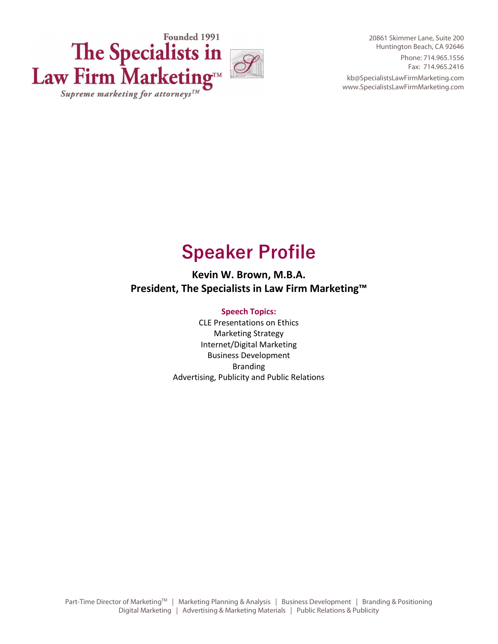

20861 Skimmer Lane, Suite 200 Huntington Beach, CA 92646 Phone: 714.965.1556 Fax: 714.965.2416 kb@SpecialistsLawFirmMarketing.com www.SpecialistsLawFirmMarketing.com

# **Speaker Profile**

**Kevin W. Brown, M.B.A. President, The Specialists in Law Firm Marketing™**

# **Speech Topics:**

CLE Presentations on Ethics Marketing Strategy Internet/Digital Marketing Business Development Branding Advertising, Publicity and Public Relations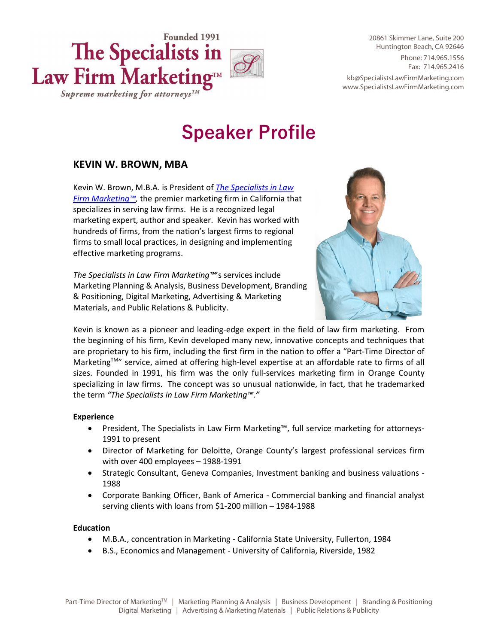

20861 Skimmer Lane, Suite 200 Huntington Beach, CA 92646 Phone: 714.965.1556 Fax: 714.965.2416 kb@SpecialistsLawFirmMarketing.com www.SpecialistsLawFirmMarketing.com

# **Speaker Profile**

# **KEVIN W. BROWN, MBA**

Kevin W. Brown, M.B.A. is President of *[The Specialists in Law](http://specialistslawfirmmarketing.com/)  [Firm Marketing™,](http://specialistslawfirmmarketing.com/)* the premier marketing firm in California that specializes in serving law firms. He is a recognized legal marketing expert, author and speaker. Kevin has worked with hundreds of firms, from the nation's largest firms to regional firms to small local practices, in designing and implementing effective marketing programs.

*The Specialists in Law Firm Marketing™*'s services include Marketing Planning & Analysis, Business Development, Branding & Positioning, Digital Marketing, Advertising & Marketing Materials, and Public Relations & Publicity.



Kevin is known as a pioneer and leading-edge expert in the field of law firm marketing. From the beginning of his firm, Kevin developed many new, innovative concepts and techniques that are proprietary to his firm, including the first firm in the nation to offer a "Part-Time Director of Marketing<sup>TM"</sup> service, aimed at offering high-level expertise at an affordable rate to firms of all sizes. Founded in 1991, his firm was the only full-services marketing firm in Orange County specializing in law firms. The concept was so unusual nationwide, in fact, that he trademarked the term *"The Specialists in Law Firm Marketing™."*

# **Experience**

- President, The Specialists in Law Firm Marketing™, full service marketing for attorneys-1991 to present
- Director of Marketing for Deloitte, Orange County's largest professional services firm with over 400 employees – 1988-1991
- Strategic Consultant, Geneva Companies, Investment banking and business valuations 1988
- Corporate Banking Officer, Bank of America Commercial banking and financial analyst serving clients with loans from \$1-200 million – 1984-1988

# **Education**

- M.B.A., concentration in Marketing California State University, Fullerton, 1984
- B.S., Economics and Management University of California, Riverside, 1982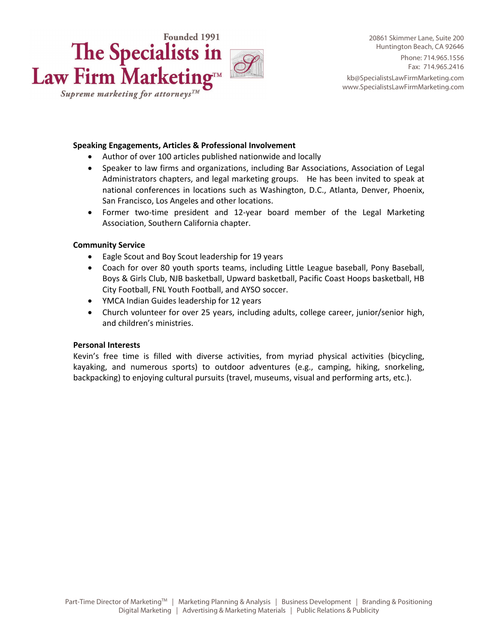

#### **Speaking Engagements, Articles & Professional Involvement**

- Author of over 100 articles published nationwide and locally
- Speaker to law firms and organizations, including Bar Associations, Association of Legal Administrators chapters, and legal marketing groups. He has been invited to speak at national conferences in locations such as Washington, D.C., Atlanta, Denver, Phoenix, San Francisco, Los Angeles and other locations.
- Former two-time president and 12-year board member of the Legal Marketing Association, Southern California chapter.

#### **Community Service**

- Eagle Scout and Boy Scout leadership for 19 years
- Coach for over 80 youth sports teams, including Little League baseball, Pony Baseball, Boys & Girls Club, NJB basketball, Upward basketball, Pacific Coast Hoops basketball, HB City Football, FNL Youth Football, and AYSO soccer.
- YMCA Indian Guides leadership for 12 years
- Church volunteer for over 25 years, including adults, college career, junior/senior high, and children's ministries.

#### **Personal Interests**

Kevin's free time is filled with diverse activities, from myriad physical activities (bicycling, kayaking, and numerous sports) to outdoor adventures (e.g., camping, hiking, snorkeling, backpacking) to enjoying cultural pursuits (travel, museums, visual and performing arts, etc.).